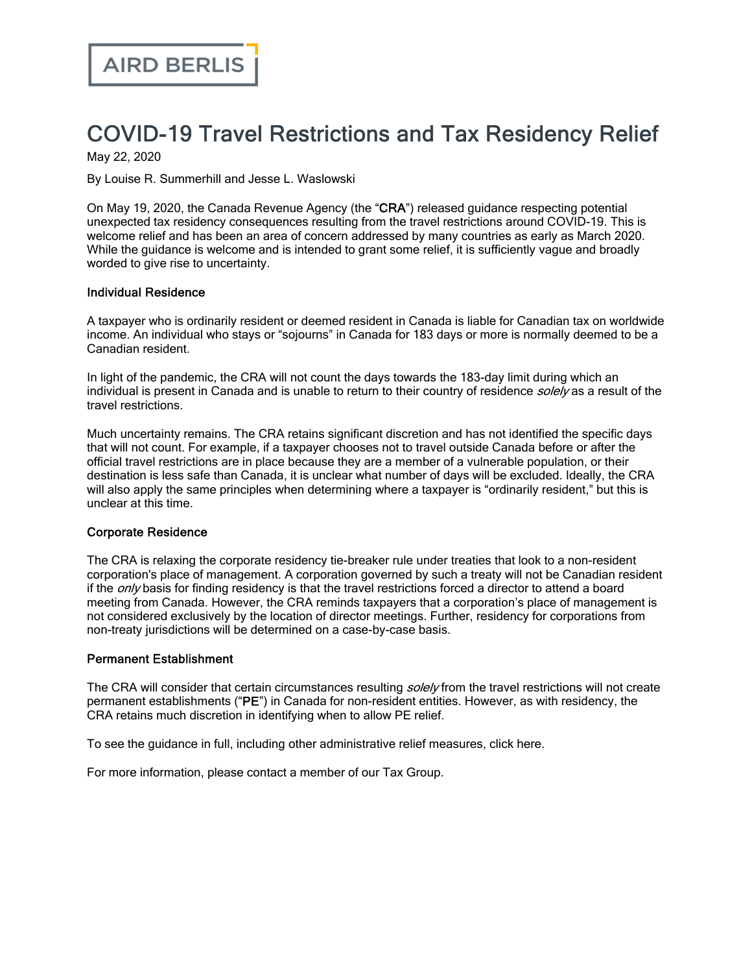# COVID-19 Travel Restrictions and Tax Residency Relief

May 22, 2020

By Louise R. Summerhill and Jesse L. Waslowski

On May 19, 2020, the Canada Revenue Agency (the "CRA") released guidance respecting potential unexpected tax residency consequences resulting from the travel restrictions around COVID-19. This is welcome relief and has been an area of concern addressed by many countries as early as March 2020. While the guidance is welcome and is intended to grant some relief, it is sufficiently vague and broadly worded to give rise to uncertainty.

### Individual Residence

A taxpayer who is ordinarily resident or deemed resident in Canada is liable for Canadian tax on worldwide income. An individual who stays or "sojourns" in Canada for 183 days or more is normally deemed to be a Canadian resident.

In light of the pandemic, the CRA will not count the days towards the 183‑day limit during which an individual is present in Canada and is unable to return to their country of residence solely as a result of the travel restrictions.

Much uncertainty remains. The CRA retains significant discretion and has not identified the specific days that will not count. For example, if a taxpayer chooses not to travel outside Canada before or after the official travel restrictions are in place because they are a member of a vulnerable population, or their destination is less safe than Canada, it is unclear what number of days will be excluded. Ideally, the CRA will also apply the same principles when determining where a taxpayer is "ordinarily resident," but this is unclear at this time.

### Corporate Residence

The CRA is relaxing the corporate residency tie-breaker rule under treaties that look to a non-resident corporation's place of management. A corporation governed by such a treaty will not be Canadian resident if the *only* basis for finding residency is that the travel restrictions forced a director to attend a board meeting from Canada. However, the CRA reminds taxpayers that a corporation's place of management is not considered exclusively by the location of director meetings. Further, residency for corporations from non-treaty jurisdictions will be determined on a case-by-case basis.

#### Permanent Establishment

The CRA will consider that certain circumstances resulting *solely* from the travel restrictions will not create permanent establishments ("PE") in Canada for non-resident entities. However, as with residency, the CRA retains much discretion in identifying when to allow PE relief.

To see the guidance in full, including other administrative relief measures, click [here.](https://www.canada.ca/en/revenue-agency/campaigns/covid-19-update/guidance-international-income-tax-issues.html)

For more information, please contact a member of our Tax [Group.](https://www.airdberlis.com/what-we-do/expertise/service/tax)